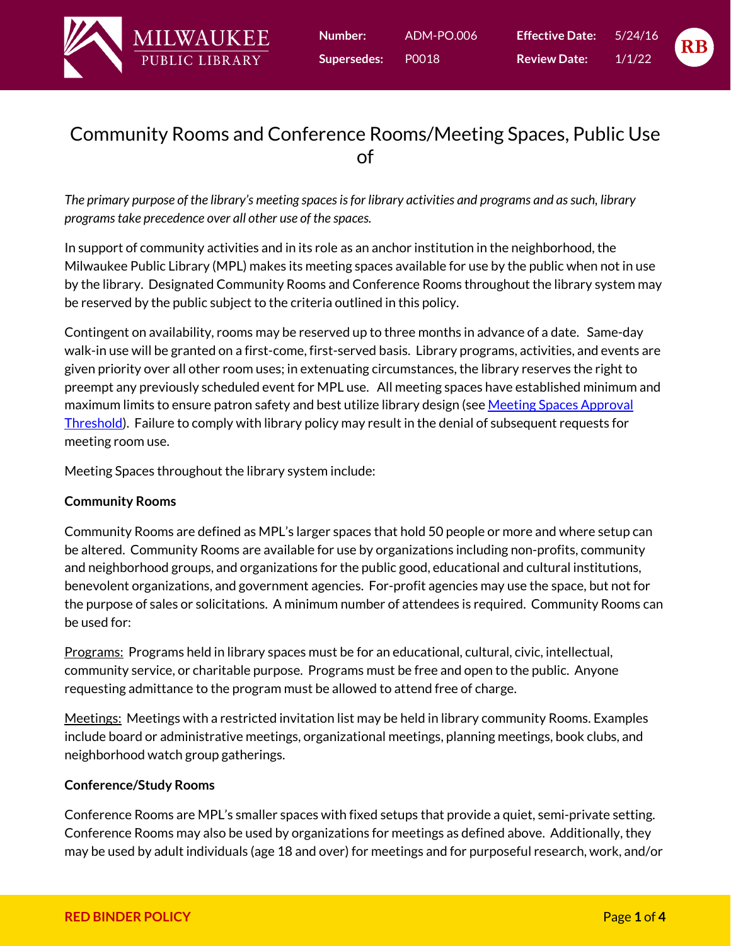



# Community Rooms and Conference Rooms/Meeting Spaces, Public Use of

*The primary purpose of the library's meeting spaces is for library activities and programs and as such, library programs take precedence over all other use of the spaces.*

In support of community activities and in its role as an anchor institution in the neighborhood, the Milwaukee Public Library (MPL) makes its meeting spaces available for use by the public when not in use by the library. Designated Community Rooms and Conference Rooms throughout the library system may be reserved by the public subject to the criteria outlined in this policy.

Contingent on availability, rooms may be reserved up to three months in advance of a date. Same-day walk-in use will be granted on a first-come, first-served basis. Library programs, activities, and events are given priority over all other room uses; in extenuating circumstances, the library reserves the right to preempt any previously scheduled event for MPL use. All meeting spaces have established minimum and maximum limits to ensure patron safety and best utilize library design (see Meeting Spaces Approval [Threshold\).](#page-4-0) Failure to comply with library policy may result in the denial of subsequent requests for meeting room use.

Meeting Spaces throughout the library system include:

## **Community Rooms**

Community Rooms are defined as MPL's larger spaces that hold 50 people or more and where setup can be altered. Community Rooms are available for use by organizations including non-profits, community and neighborhood groups, and organizations for the public good, educational and cultural institutions, benevolent organizations, and government agencies. For-profit agencies may use the space, but not for the purpose of sales or solicitations. A minimum number of attendees is required. Community Rooms can be used for:

Programs: Programs held in library spaces must be for an educational, cultural, civic, intellectual, community service, or charitable purpose. Programs must be free and open to the public. Anyone requesting admittance to the program must be allowed to attend free of charge.

Meetings: Meetings with a restricted invitation list may be held in library community Rooms. Examples include board or administrative meetings, organizational meetings, planning meetings, book clubs, and neighborhood watch group gatherings.

## **Conference/Study Rooms**

Conference Rooms are MPL's smaller spaces with fixed setups that provide a quiet, semi-private setting. Conference Rooms may also be used by organizations for meetings as defined above. Additionally, they may be used by adult individuals (age 18 and over) for meetings and for purposeful research, work, and/or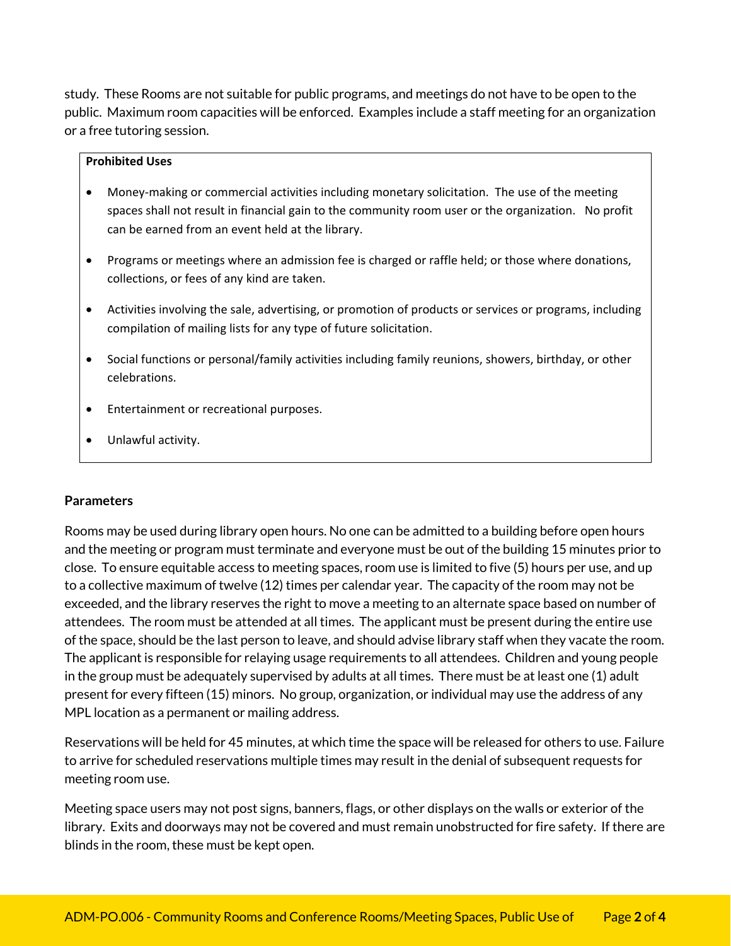study. These Rooms are not suitable for public programs, and meetings do not have to be open to the public. Maximum room capacities will be enforced. Examples include a staff meeting for an organization or a free tutoring session.

#### **Prohibited Uses**

- Money‐making or commercial activities including monetary solicitation. The use of the meeting spaces shall not result in financial gain to the community room user or the organization. No profit can be earned from an event held at the library.
- Programs or meetings where an admission fee is charged or raffle held; or those where donations, collections, or fees of any kind are taken.
- Activities involving the sale, advertising, or promotion of products or services or programs, including compilation of mailing lists for any type of future solicitation.
- Social functions or personal/family activities including family reunions, showers, birthday, or other celebrations.
- **•** Entertainment or recreational purposes.
- Unlawful activity.

#### **Parameters**

Rooms may be used during library open hours. No one can be admitted to a building before open hours and the meeting or program must terminate and everyone must be out of the building 15 minutes prior to close. To ensure equitable access to meeting spaces, room use is limited to five (5) hours per use, and up to a collective maximum of twelve (12) times per calendar year. The capacity of the room may not be exceeded, and the library reserves the right to move a meeting to an alternate space based on number of attendees. The room must be attended at all times. The applicant must be present during the entire use of the space, should be the last person to leave, and should advise library staff when they vacate the room. The applicant is responsible for relaying usage requirements to all attendees. Children and young people in the group must be adequately supervised by adults at all times. There must be at least one (1) adult present for every fifteen (15) minors. No group, organization, or individual may use the address of any MPL location as a permanent or mailing address.

Reservations will be held for 45 minutes, at which time the space will be released for others to use. Failure to arrive for scheduled reservations multiple times may result in the denial of subsequent requests for meeting room use.

Meeting space users may not post signs, banners, flags, or other displays on the walls or exterior of the library. Exits and doorways may not be covered and must remain unobstructed for fire safety. If there are blinds in the room, these must be kept open.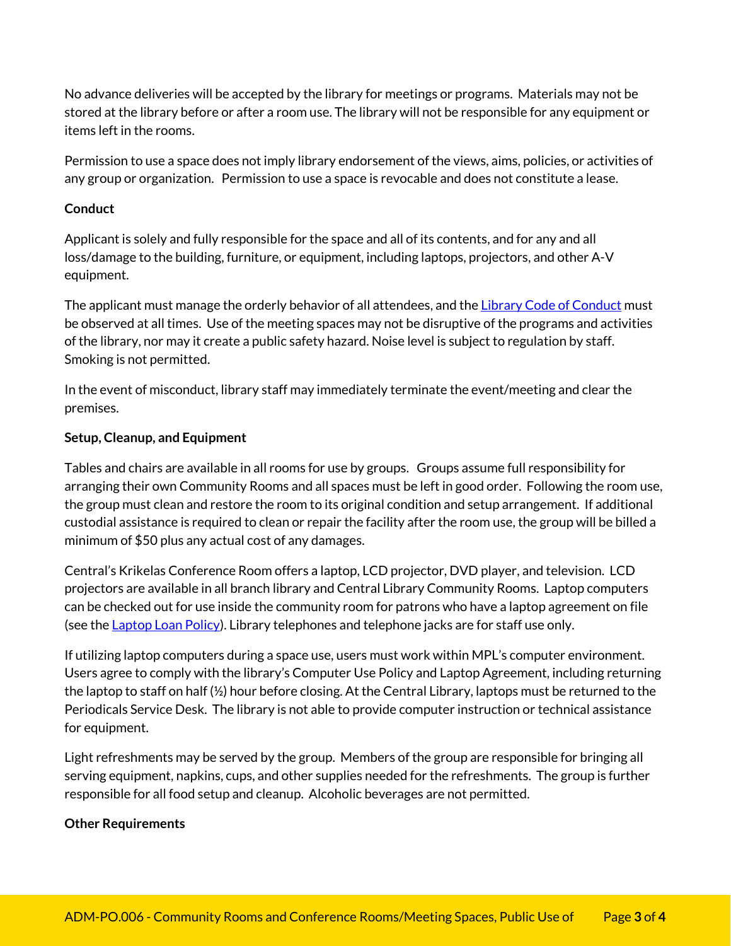No advance deliveries will be accepted by the library for meetings or programs. Materials may not be stored at the library before or after a room use. The library will not be responsible for any equipment or items left in the rooms.

Permission to use a space does not imply library endorsement of the views, aims, policies, or activities of any group or organization. Permission to use a space is revocable and does not constitute a lease.

### **Conduct**

Applicant is solely and fully responsible for the space and all of its contents, and for any and all loss/damage to the building, furniture, or equipment, including laptops, projectors, and other A-V equipment.

The applicant must manage the orderly behavior of all attendees, and the [Library Code of Conduct m](https://mpl.org/library/code_of_conduct/)ust be observed at all times. Use of the meeting spaces may not be disruptive of the programs and activities of the library, nor may it create a public safety hazard. Noise level is subject to regulation by staff. Smoking is not permitted.

In the event of misconduct, library staff may immediately terminate the event/meeting and clear the premises.

### **Setup, Cleanup, and Equipment**

Tables and chairs are available in all rooms for use by groups. Groups assume full responsibility for arranging their own Community Rooms and all spaces must be left in good order. Following the room use, the group must clean and restore the room to its original condition and setup arrangement. If additional custodial assistance is required to clean or repair the facility after the room use, the group will be billed a minimum of \$50 plus any actual cost of any damages.

Central's Krikelas Conference Room offers a laptop, LCD projector, DVD player, and television. LCD projectors are available in all branch library and Central Library Community Rooms. Laptop computers can be checked out for use inside the community room for patrons who have a laptop agreement on file (see the [Laptop Loan Policy\).](https://mpl.org/content/pdfs/LaptopLoanPolicy_TechSvcs.pdf) Library telephones and telephone jacks are for staff use only.

If utilizing laptop computers during a space use, users must work within MPL's computer environment. Users agree to comply with the library's Computer Use Policy and Laptop Agreement, including returning the laptop to staff on half (½) hour before closing. At the Central Library, laptops must be returned to the Periodicals Service Desk. The library is not able to provide computer instruction or technical assistance for equipment.

Light refreshments may be served by the group. Members of the group are responsible for bringing all serving equipment, napkins, cups, and other supplies needed for the refreshments. The group is further responsible for all food setup and cleanup. Alcoholic beverages are not permitted.

#### **Other Requirements**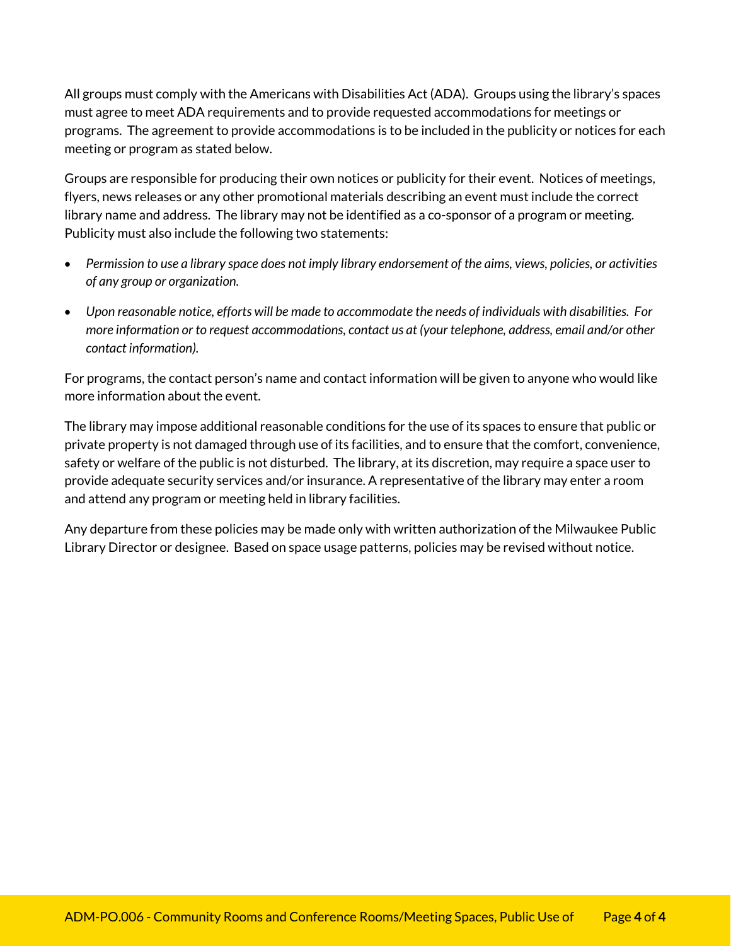All groups must comply with the Americans with Disabilities Act (ADA). Groups using the library's spaces must agree to meet ADA requirements and to provide requested accommodations for meetings or programs. The agreement to provide accommodations is to be included in the publicity or notices for each meeting or program as stated below.

Groups are responsible for producing their own notices or publicity for their event. Notices of meetings, flyers, news releases or any other promotional materials describing an event must include the correct library name and address. The library may not be identified as a co-sponsor of a program or meeting. Publicity must also include the following two statements:

- *Permission to use a library space does not imply library endorsement of the aims, views, policies, or activities of any group or organization.*
- *Upon reasonable notice, efforts will be made to accommodate the needs of individuals with disabilities. For more information or to request accommodations, contact us at (your telephone, address, email and/or other contact information).*

For programs, the contact person's name and contact information will be given to anyone who would like more information about the event.

The library may impose additional reasonable conditions for the use of its spaces to ensure that public or private property is not damaged through use of its facilities, and to ensure that the comfort, convenience, safety or welfare of the public is not disturbed. The library, at its discretion, may require a space user to provide adequate security services and/or insurance. A representative of the library may enter a room and attend any program or meeting held in library facilities.

Any departure from these policies may be made only with written authorization of the Milwaukee Public Library Director or designee. Based on space usage patterns, policies may be revised without notice.